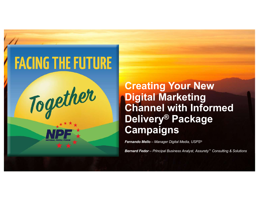

Together

**Creating Your New Digital Marketing Channel with Informed Delivery® Package Campaigns**

*Fernando Mello – Manager Digital Media, USPS®*

*Bernard Fedor – Principal Business Analyst, Assurety™ Consulting & Solutions*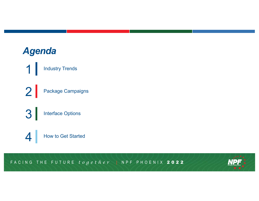# *Agenda*

1 Industry Trends 2 Package Campaigns

3 Interface Options

4 How to Get Started

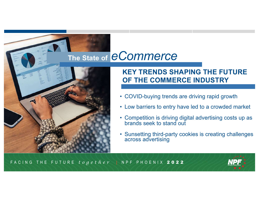# **The State of** *eCommerce*



### **KEY TRENDS SHAPING THE FUTURE OF THE COMMERCE INDUSTRY**

- COVID-buying trends are driving rapid growth
- Low barriers to entry have led to a crowded market
- Competition is driving digital advertising costs up as brands seek to stand out
- Sunsetting third-party cookies is creating challenges across advertising

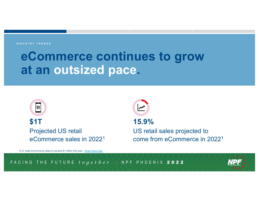旨

# **eCommerce continues to grow at an outsized pace.**

**\$1T** Projected US retail eCommerce sales in 20221

**15.9%**  US retail sales projected to come from eCommerce in 20221

1U.S. retail eCommerce sales to exceed \$1 trillion this year - [Chain Store A](https://www.chainstoreage.com/us-retail-e-commerce-sales-exceed-1-trillion-year)ge

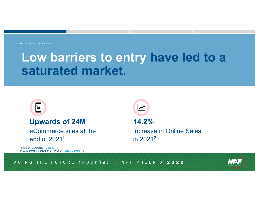# **Low barriers to entry have led to a saturated market.**

扁

## **Upwards of 24M** eCommerce sites at the

end of 20211

™∣

**14.2%**  Increase in Online Sales in 20212

1 Future of eCommerce - [Shop](https://www.shopify.com/research/future-of-commerce/future-of-ecommerce)ify <sup>2</sup> U.S. eCommerce grows 14.2% in 2021 - [Digital Comme](https://www.digitalcommerce360.com/article/us-ecommerce-sales/)rce

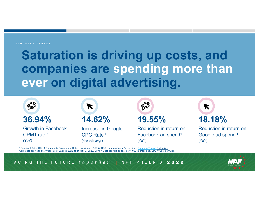# **Saturation is driving up costs, and companies are spending more than ever on digital advertising.**



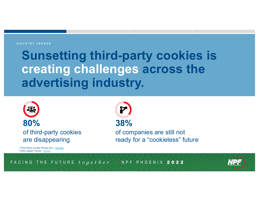# **Sunsetting third-party cookies is creating challenges across the advertising industry.**





<sup>1</sup> Third-Party Cookie Phase Out – [Delo](https://www2.deloitte.com/content/dam/Deloitte/be/Documents/Operations/Deloitte_3rd%20party%20cookies%20phase%20out_Services%20offering.pdf)itte <sup>2</sup> 2022 Digital Tren[ds -](https://business.adobe.com/resources/digital-trends-report.html) Adobe

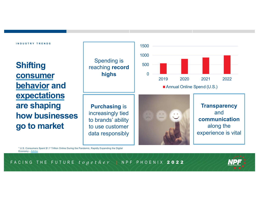**Shifting consumer behavior and expectations are shaping how businesses go to market**

**Purchasing** is increasingly tied to brands' ability to use customer data responsibly

Spending is reaching **record** 

**highs**

**Transparency** and **communication** along the experience is vital

<sup>1</sup> U.S. Consumers Spent \$1.7 Trillion Online During the Pandemic, Rapidly Expanding the Digital Econo[my -](https://news.adobe.com/news/news-details/2022/Adobe-U.S.-Consumers-Spent-1.7-Trillion-Online-During-the-Pandemic-Rapidly-Expanding-the-Digital-Economy/default.aspx) Adobe



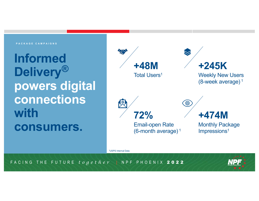### **PACKAGE CAMPAIGNS**

**Informed Delivery***®* **powers digital connections with consumers.**



1USPS Internal Data

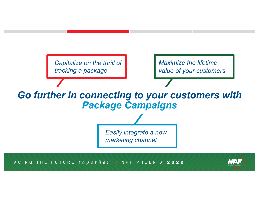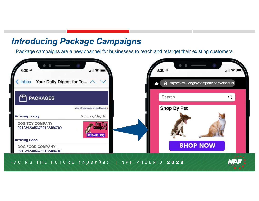# *Introducing Package Campaigns*

Package campaigns are a new channel for businesses to reach and retarget their existing customers.

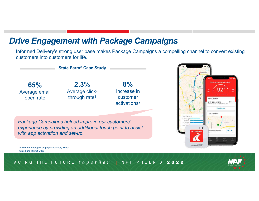## *Drive Engagement with Package Campaigns*

Informed Delivery's strong user base makes Package Campaigns a compelling channel to convert existing customers into customers for life.

**State Farm® Case Study**

**65%** Average email open rate

**2.3%** Average clickthrough rate1

**8%** Increase in customer activations2 同  $\Box$ 2017 HONDA ACCORD \$63.45 \*\*\*\*

*Package Campaigns helped improve our customers' experience by providing an additional touch point to assist with app activation and set-up.* 

1State Farm Package Campaigns Summary Report 2State Farm Internal Data

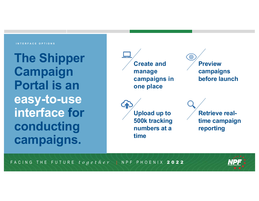#### **INTERFACE OPTIONS**

**The Shipper Campaign Portal is an easy-to-use interface for conducting campaigns.**



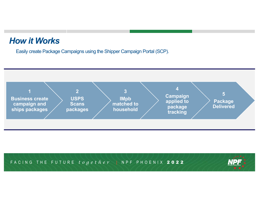# *How it Works*

Easily create Package Campaigns using the Shipper Campaign Portal (SCP).



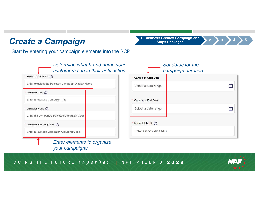# **Create a Campaign Campaign 1. Business Creates Campaign and <br>
<b>3 1. Business Creates Campaign and <br>
Ships Packages**

Start by entering your campaign elements into the SCP.



FACING THE FUTURE *together* **|** NPF PHOENIX 2022



**Ships Packages <sup>2</sup> <sup>4</sup> <sup>5</sup>**

齡

當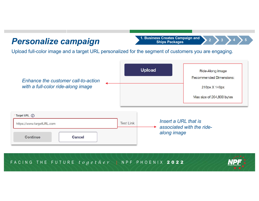# *Personalize campaign*

**<sup>3</sup> 1. Business Creates Campaign and Ships Packages <sup>2</sup> <sup>4</sup> <sup>5</sup>**

Upload full-color image and a target URL personalized for the segment of customers you are engaging.



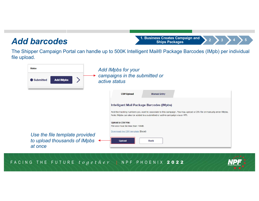## *Add barcodes*

**<sup>3</sup> 1. Business Creates Campaign and Ships Packages <sup>2</sup> <sup>4</sup> <sup>5</sup>**

The Shipper Campaign Portal can handle up to 500K Intelligent Mail® Package Barcodes (IMpb) per individual file upload.



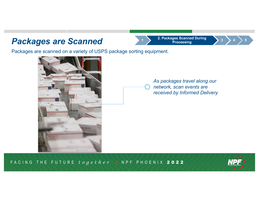### **Packages are Scanned**

Packages are scanned on a variety of USPS package sorting equipment.

*As packages travel along our network, scan events are received by Informed Delivery*

FACING THE FUTURE *together* **|** NPF PHOENIX 2022





**<sup>3</sup> 2. Packages Scanned During**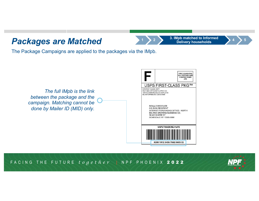## *Packages are Matched*

**<sup>2</sup> 3. IMpb matched to Informed**  *Delivery households* 

The Package Campaigns are applied to the packages via the IMpb.





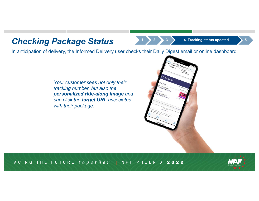## **Checking Package Status 1 2 2 3 4**. Tracking status updated

In anticipation of delivery, the Informed Delivery user checks their Daily Digest email or online dashboard.

*Your customer sees not only their tracking number, but also the personalized ride-along image and can click the target URL associated with their package.*



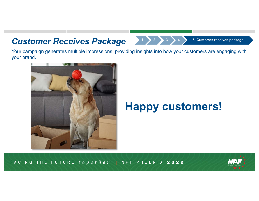## *Customer Receives Package* **<sup>1</sup> <sup>2</sup> <sup>3</sup> <sup>4</sup> 5. Customer receives package**

Your campaign generates multiple impressions, providing insights into how your customers are engaging with your brand.



# **Happy customers!**

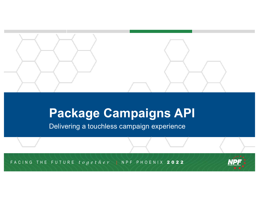

# **Package Campaigns API**

Delivering a touchless campaign experience

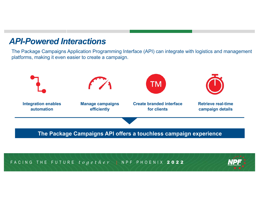

The Package Campaigns Application Programming Interface (API) can integrate with logistics and management platforms, making it even easier to create a campaign.



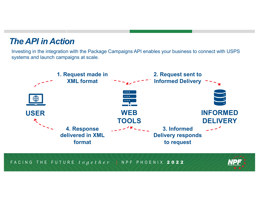# *The API in Action*

Investing in the integration with the Package Campaigns API enables your business to connect with USPS systems and launch campaigns at scale.



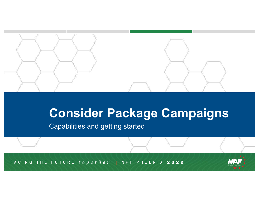

# **Consider Package Campaigns**

Capabilities and getting started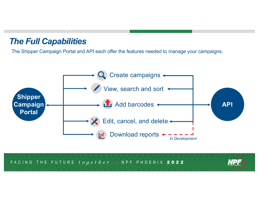## *The Full Capabilities*

The Shipper Campaign Portal and API each offer the features needed to manage your campaigns.